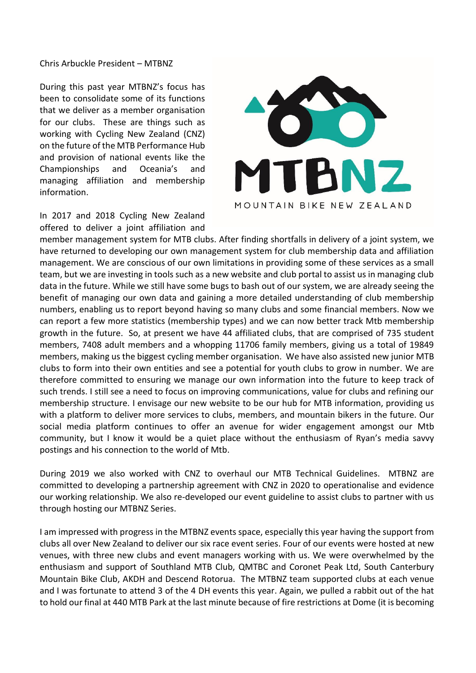## Chris Arbuckle President – MTBNZ

During this past year MTBNZ's focus has been to consolidate some of its functions that we deliver as a member organisation for our clubs. These are things such as working with Cycling New Zealand (CNZ) on the future of the MTB Performance Hub and provision of national events like the Championships and Oceania's and managing affiliation and membership information.



In 2017 and 2018 Cycling New Zealand offered to deliver a joint affiliation and

member management system for MTB clubs. After finding shortfalls in delivery of a joint system, we have returned to developing our own management system for club membership data and affiliation management. We are conscious of our own limitations in providing some of these services as a small team, but we are investing in tools such as a new website and club portal to assist us in managing club data in the future. While we still have some bugs to bash out of our system, we are already seeing the benefit of managing our own data and gaining a more detailed understanding of club membership numbers, enabling us to report beyond having so many clubs and some financial members. Now we can report a few more statistics (membership types) and we can now better track Mtb membership growth in the future. So, at present we have 44 affiliated clubs, that are comprised of 735 student members, 7408 adult members and a whopping 11706 family members, giving us a total of 19849 members, making us the biggest cycling member organisation. We have also assisted new junior MTB clubs to form into their own entities and see a potential for youth clubs to grow in number. We are therefore committed to ensuring we manage our own information into the future to keep track of such trends. I still see a need to focus on improving communications, value for clubs and refining our membership structure. I envisage our new website to be our hub for MTB information, providing us with a platform to deliver more services to clubs, members, and mountain bikers in the future. Our social media platform continues to offer an avenue for wider engagement amongst our Mtb community, but I know it would be a quiet place without the enthusiasm of Ryan's media savvy postings and his connection to the world of Mtb.

During 2019 we also worked with CNZ to overhaul our MTB Technical Guidelines. MTBNZ are committed to developing a partnership agreement with CNZ in 2020 to operationalise and evidence our working relationship. We also re-developed our event guideline to assist clubs to partner with us through hosting our MTBNZ Series.

I am impressed with progress in the MTBNZ events space, especially this year having the support from clubs all over New Zealand to deliver our six race event series. Four of our events were hosted at new venues, with three new clubs and event managers working with us. We were overwhelmed by the enthusiasm and support of Southland MTB Club, QMTBC and Coronet Peak Ltd, South Canterbury Mountain Bike Club, AKDH and Descend Rotorua. The MTBNZ team supported clubs at each venue and I was fortunate to attend 3 of the 4 DH events this year. Again, we pulled a rabbit out of the hat to hold our final at 440 MTB Park at the last minute because of fire restrictions at Dome (it is becoming